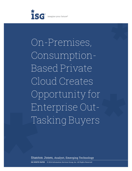

On-Premises, Consumption-Based Private Cloud Creates Opportunity for Enterprise Out-Tasking Buyers

Stanton Jones, Analyst, Emerging Technology

**ISG WHITE PAPER** © 2014 Information Services Group, Inc. All Rights Reserved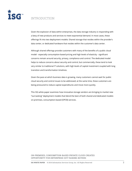

# INTRODUCTION

Given the explosion of data within enterprises, the data storage industry is responding with a bevy of new products and services to meet exponential demand. In most cases, these offerings fit into two deployment models: Shared storage that resides within the provider's data center, or dedicated hardware that resides within the customer's data center.

Although shared offerings provide customers with many of the benefits of a public cloud model - especially consumption-based pricing and high levels of elasticity - significant concerns remain around security, privacy, compliance and control. The dedicated model helps to reduce concerns about security and control, but commercially, these tend to look very similar to traditional IT solutions, with high levels of capital investment coupled with long transition and transformation timelines.

Given the pace at which business data is growing, many customers cannot wait for public cloud security and control issues to be addressed; at the same time, these customers are being pressured to reduce capital expenditures and move more quickly.

This ISG white paper examines how innovative storage vendors are bringing to market new "out-tasking" deployment models that blend the best of both shared and dedicated models: on-premises, consumption-based (OPCB) services.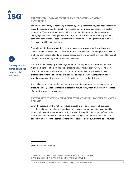

### **EXPONENTIAL DATA GROWTH IN AN INCREASINGLY DIGITAL ENTERPRISE**

The volume and variety of data being managed by enterprises is growing at a near-exponential pace. The average amount of data being managed by enterprise organizations is expected increase by 76 percent within the next 12 – 18 months, with one-third of organizations managing more than 1 petabyte by the end of 20141. Concurrent with the hyper growth of data is the need to reduce cost. Business cost reduction via technology continues to be the No. 1 concern of IT management<sup>2</sup>.

A key element to this growth pattern is the increase in new types of both structured and unstructured data: social media, clickstream, sensors and images. The emergence of advanced analytics, both traditional and predictive, creates a scenario whereby IT is expected to store all this – if not for use today, then for analysis tomorrow.

**The way data is stored continues to be highly inefficient.**

Even if IT is able to keep up with storage demands, the way data is stored continues to be highly inefficient. Multiple studies show that data access follows the 80/20 rule: The most recent 20 percent of the data attracts 80 percent of the access. Nevertheless, many IT organizations continue to pursue a two-tier data strategy in which the majority of data is stored on expensive, fast storage, and only periodically archived to disk or tape.

The dual threat of explosive demand and reliance on high-cost storage creates tremendous pressure on IT organizations that are expected to reduce costs, often dramatically, in the face of mounting business expectations.

#### **ENTERPRISE IT NEEDS A NEW DEPLOYMENT MODEL TO MEET BUSINESS DEMAND**

Given the pressure on IT to not only reduce its cost but also to reduce overall business cost, the traditional model of over-provisioning high-cost storage to meet peak demand is increasingly becoming an untenable position, due to the need for significant up-front capital investments. Additionally, this model often leaves storage capacity unused for significant periods of time, creating a scenario where limited capital sits idly by waiting to be consumed.

1IDG 2Journal of Information Technology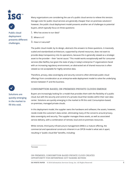



**Public cloud deployment presents different challenges.**

Many organizations are considering the use of a public cloud service to relieve this tension. Storage costs for public cloud services are generally cheaper than on-premises solutions<sup>3</sup>; however, the public cloud deployment model presents another set of challenges to potential buyers, which typically focus on three questions:

- **1.** Who has access to our data?
- **2.** Where is it?
- **3.** How is it secured?

The public cloud model, by its design, abstracts the answers to these questions. A massively scaled and standardized architecture, supported by shared resources, does not want to provide deep transparency into its operations, because this is generally viewed as a strategic asset to the provider – their "secret sauce." This model works exceptionally well for consumer services (like Netflix), but given the state of play in today's enterprise IT organizations faced with an increasing regulatory environment, an abstracted set of shared resources is often viewed as not acceptable for highly sensitive data.

Therefore, privacy, data sovereignty and security concerns often eliminate public cloud offerings from consideration as an enterprise-wide deployment model to solve the underlying tension between IT and the business.



**Solutions are quickly emerging in the market to fill this void.**

## **CONSUMPTION-BASED, ON-PREMISES PRIVATE CLOUDS EMERGE**

Buyers are increasingly looking for a model that provides them with the flexibility of a public cloud, but with the security and control of a private cloud that resides within their own data center. Solutions are quickly emerging in the market to fill this void: Consumption-based, on-premises, managed private clouds.

In this deployment model, the supplier owns the hardware and software; the assets, however, reside inside the customer's data center, eliminating many of the concerns around privacy, data sovereignty and security. The supplier manages these assets, as well as associated service delivery, with a combination of remote, local and on-premises resources.

While remote, third-party infrastructure management (RIM) is a mature offering, the commercial and operational constructs inherent in an OPCB model is what sets it apart, resulting in "public cloud-like" benefits, including:

3Forrester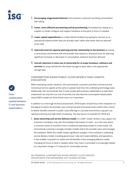

- **1. Encouraging usage-based behavior** from business customers by linking consumption with billing.
- **2. Faster, more efficient provisioning and de-provisioning** of hardware by relying on a supplier to install, configure and support hardware at the point in time it is needed.
- **3. Lower capital expenditures** on underutilized hardware by paying for services as an operational expense when they are actually used, rather than when they are planned to be used.
- **4. Improved internal capacity planning and the relationship to the business** by having a contractual commitment with the provider that requires a shared process for planning significant increases or decreases in consumption, based on business demand.
- **5. Overall reduction in total cost of ownership for in-scope hardware, software and services** by using mechanisms like tiered storage to place data in the appropriate storage type.

#### **CONSUMPTION-BASED PUBLIC CLOUD MODELS TAKE CAREFUL EVALUATION**

When evaluating vendor solutions, ISG recommends customers prioritize commercial and contractual service aspects at the same or greater level than the underlying technology stack. Additionally, ISG recommends that IT work closely with business stakeholders to help them understand not only the true cost of services, but also how the consumption-based public cloud (CBPC) model can drive future return on investment.

In addition to a thorough technical assessment, OPCB buyers should focus their evaluation on the degree to which the provider uses commercial and contractual levers within their control to deliver benefits inherent in public cloud offerings in a private environment: pay-per-use, rapid provisioning and high levels of elasticity. Five key factors to evaluate for OPCB are:

**1. Asset ownership and service delivery model:** In a CBPC model, vendors may support the customer's hardware, may own the hardware themselves or both – as in the case where a customer wants to transform from a traditional operating model to a new model. ISG recommends customers strongly consider models where the provider owns and manages the hardware. While this model creates significant changes in the customer's underlying service delivery model, including governance, roles and responsibilities, and operations, it also enables customers to realize the full benefits of this emerging delivery model. Changing the focus to what is needed rather than how it is provided is increasingly viewed as a step-level change in IT maturity for commodity services.

ON-PREMISES, CONSUMPTION-BASED PRIVATE CLOUD CREATES OPPORTUNITY FOR ENTERPRISE OUT-TASKING BUYERS

**Close collaboration needed between IT and business stakeholders.**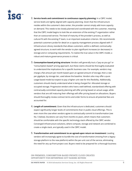

- **2. Service levels and commitment to continuous capacity planning:** In a CBPC model, service levels are tightly aligned with capacity planning. Given that the infrastructure resides within the customer's data center, the provider cannot simply add more capacity on demand. This needs to be closely planned and coordinated with the customer, meaning that the CBPC model begins to look like an extension of the existing IT organization rather than an outsourced service. The level of maturity of the provider's process, as well as cultural fit with the existing IT team, is an important evaluation criterion. ISG recommends potential customers probe for detail on a capacity management process aligned with IT Infrastructure Library standards that allows customers, within a defined, contractuallyagreed structure, to work with the vendor to plan significant increases (or decreases) in storage and or computing requirements. To realize the true value in the CBPC model, a robust and mature governance process is critical.
- **3. Consumption-based pricing structure:** Vendors will generally tout a "pay-as-you-go" or "consumption-based" pricing approach, but these claims should be thoroughly evaluated to understand the implications for a specific business case. For example, vendors may charge a flat amount per month based upon an agreed amount of storage, then a rate per gigabyte, by storage tier, used above the baseline. Vendors also may offer a pure usage-based mode but expect to pay a higher unit rate for this flexibility. Additionally, customers should clearly understand what is being charged for: Allocated storage or occupied storage. Progressive vendors who have a well-defined, standardized offering with contractually-committed capacity planning will offer pricing based on actual usage, while vendors that are still maturing their offerings will offer pricing based on allocations. Buyers should thoroughly review contract terms and order forms to ensure all potential fees are accounted for.
- **4. Length of commitment:** Given that the infrastructure is dedicated, customers should expect significantly longer levels of commitments than in public cloud offerings. This is even more the case when vendors agree to contractually commit to transformation (see No. 5 below). Durations can vary from months to years, which means that customers should be comfortable with the specific technology stack offered by the CBPC vendor. Converged infrastructure solutions, where compute, storage and network are combined to create a single stack, are typically used in the CBPC model.
- **5. Transformation and commitment to an agreed-upon return on investment:** Leading vendors will increasingly agree to bundle the cost of transformation (moving from a legacy storage platform to the new platform) within the per-unit cost of the service, eliminating the need for any up-front project cost. Buyers need to be prepared for a thorough business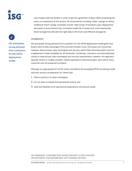

case analysis with the vendor in order to get this agreement in place. When evaluating the return on investment of the service, ISG recommends including "softer" savings as well as traditional "hard" savings. Examples include "right-sizing" of hardware upon deployment, decreases in procurement time, increased usable life of assets and, most importantly, tiered storage that allocates the right data to the most cost-effective storage tier.

#### **SUMMARY**

**ISG anticipates strong demand from customers for the OPCB deployment model.**

ISG anticipates strong demand from customers for the OPCB deployment model given that buyers want to take advantage of the promise of public cloud. The buyers are concerned, however, about privacy, data sovereignty and security, which often eliminate public cloud as a deployment model candidate for all workloads. Conversely, customers can build dedicated clouds to meet privacy, data sovereignty and security requirements; however, this approach typically results in a highly complex, capital expenditure intensive project, upon which many customers are not prepared to embark.

Although not appropriate for all ISG clients, we believe the emerging OPCB out-tasking model warrants serious consideration for clients that:

- **1.** Place a premium on data sovereignty.
- **2.** Do not want to release full operational control, and
- **3.** Seek the flexibility of an operational expenditure commercial model.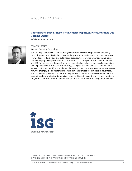## ABOUT THE AUTHOR

### **Consumption-Based Private Cloud Creates Opportunity for Enterprise Out-Tasking Buyers**

**Published June 13, 2014**

**STANTON JONES**



#### Analyst, Emerging Technology

Stanton helps enterprise IT and sourcing leaders rationalize and capitalize on emerging technology opportunities in the context of the global sourcing industry. He brings extensive knowledge of today's cloud and automation ecosystems, as well as other disruptive trends that are helping to shape and disrupt the business computing landscape. Stanton has been with ISG for more over a decade. During his tenure he has helped clients develop, negotiate and implement cloud infrastructure sourcing strategies, evaluate and select software-as-aservice platforms, identify and implement best-in-class service brokerage models, and assess how the emerging cloud master architecture can be leveraged for competitive advantage. Stanton has also guided a number of leading service providers in the development of nextgeneration cloud strategies. Stanton is a recognized industry expert, and has been quoted in CIO, Forbes and The Times of London. You can follow Stanton on Twitter: @stantonmjones.